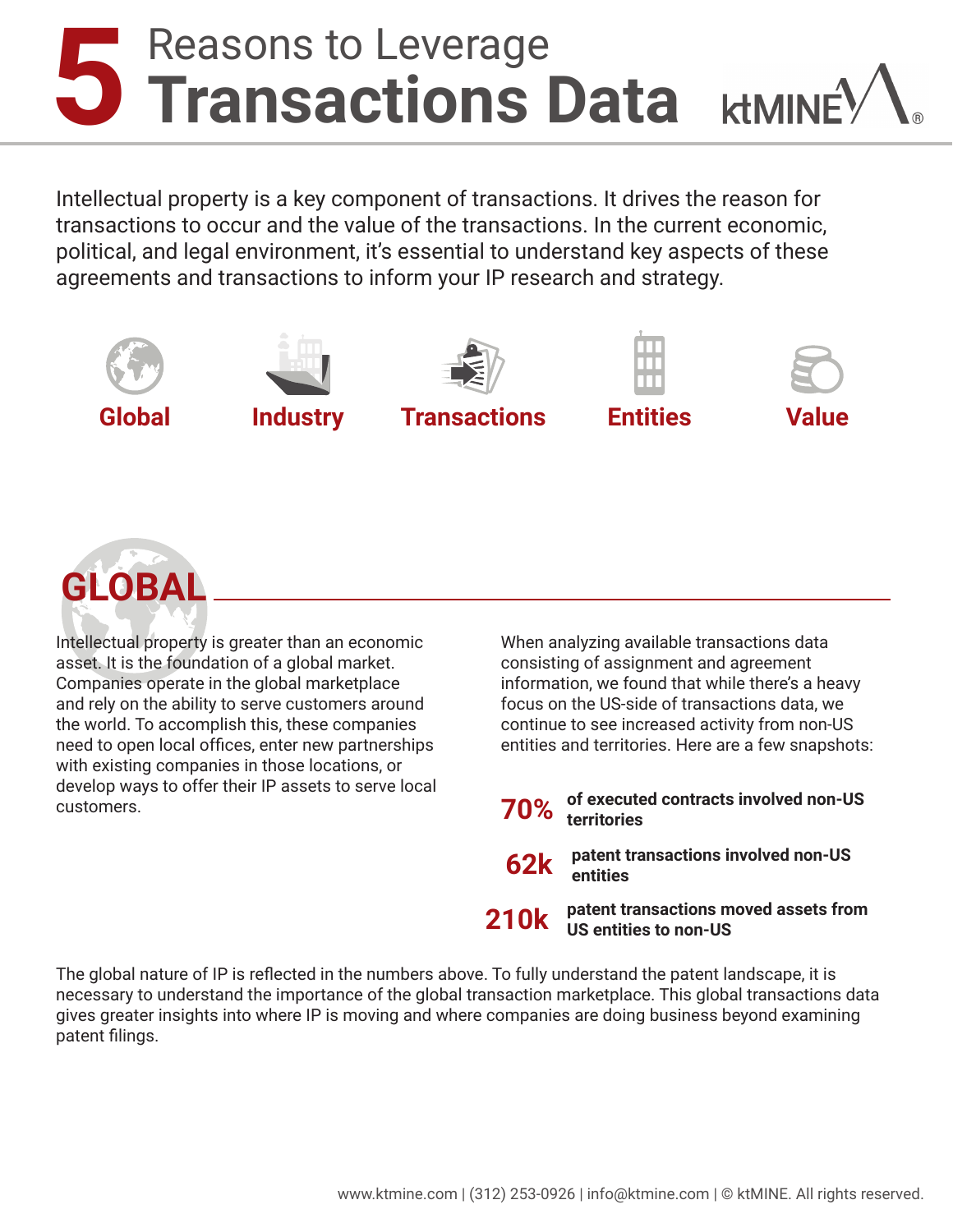## **5** Reasons to Leverage **Transactions Data**

Intellectual property is a key component of transactions. It drives the reason for transactions to occur and the value of the transactions. In the current economic, political, and legal environment, it's essential to understand key aspects of these agreements and transactions to inform your IP research and strategy.





Intellectual property is greater than an economic asset. It is the foundation of a global market. Companies operate in the global marketplace and rely on the ability to serve customers around the world. To accomplish this, these companies need to open local offices, enter new partnerships with existing companies in those locations, or develop ways to offer their IP assets to serve local customers.

When analyzing available transactions data consisting of assignment and agreement information, we found that while there's a heavy focus on the US-side of transactions data, we continue to see increased activity from non-US entities and territories. Here are a few snapshots:

```
70%
 of executed contracts involved non-US 
territories
```
**62k patent transactions involved non-US entities**

**210k patent transactions moved assets from US entities to non-US**

The global nature of IP is reflected in the numbers above. To fully understand the patent landscape, it is necessary to understand the importance of the global transaction marketplace. This global transactions data gives greater insights into where IP is moving and where companies are doing business beyond examining patent filings.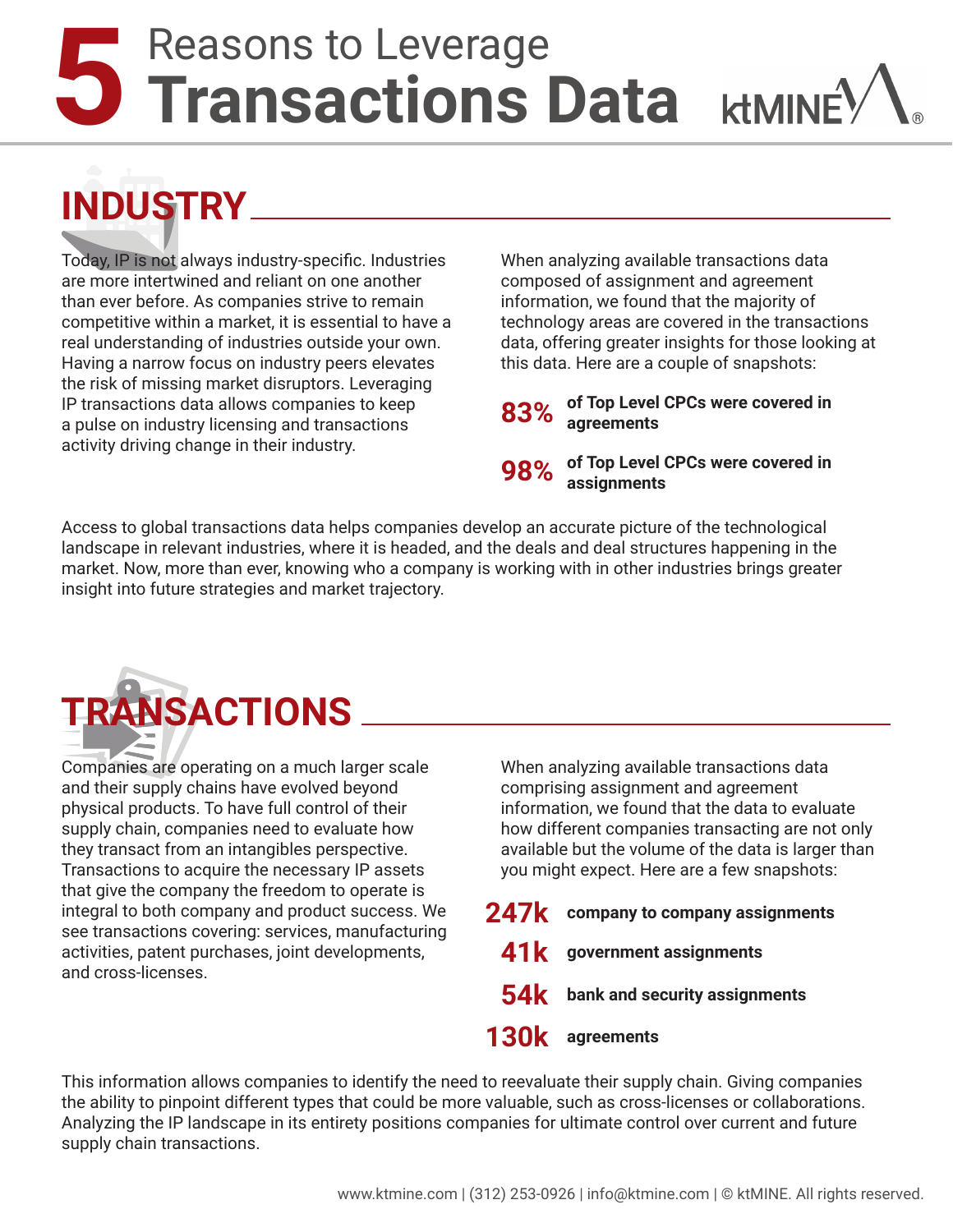www.ktmine.com | (312) 253-0926 | info@ktmine.com | © ktMINE. All rights reserved.

## **5** Reasons to Leverage **Transactions Data**

**INDUSTRY**

Today, IP is not always industry-specific. Industries are more intertwined and reliant on one another than ever before. As companies strive to remain competitive within a market, it is essential to have a real understanding of industries outside your own. Having a narrow focus on industry peers elevates the risk of missing market disruptors. Leveraging IP transactions data allows companies to keep a pulse on industry licensing and transactions activity driving change in their industry.

When analyzing available transactions data composed of assignment and agreement information, we found that the majority of technology areas are covered in the transactions data, offering greater insights for those looking at this data. Here are a couple of snapshots:

**83% of Top Level CPCs were covered in agreements**

**98% of Top Level CPCs were covered in assignments**

Access to global transactions data helps companies develop an accurate picture of the technological landscape in relevant industries, where it is headed, and the deals and deal structures happening in the market. Now, more than ever, knowing who a company is working with in other industries brings greater insight into future strategies and market trajectory.

Companies are operating on a much larger scale and their supply chains have evolved beyond physical products. To have full control of their supply chain, companies need to evaluate how they transact from an intangibles perspective. Transactions to acquire the necessary IP assets that give the company the freedom to operate is integral to both company and product success. We see transactions covering: services, manufacturing activities, patent purchases, joint developments, **TRANSACTIONS**

and cross-licenses.

When analyzing available transactions data comprising assignment and agreement information, we found that the data to evaluate how different companies transacting are not only available but the volume of the data is larger than you might expect. Here are a few snapshots:

**247k company to company assignments 41k government assignments 54k bank and security assignments 130k agreements**

This information allows companies to identify the need to reevaluate their supply chain. Giving companies the ability to pinpoint different types that could be more valuable, such as cross-licenses or collaborations. Analyzing the IP landscape in its entirety positions companies for ultimate control over current and future supply chain transactions.